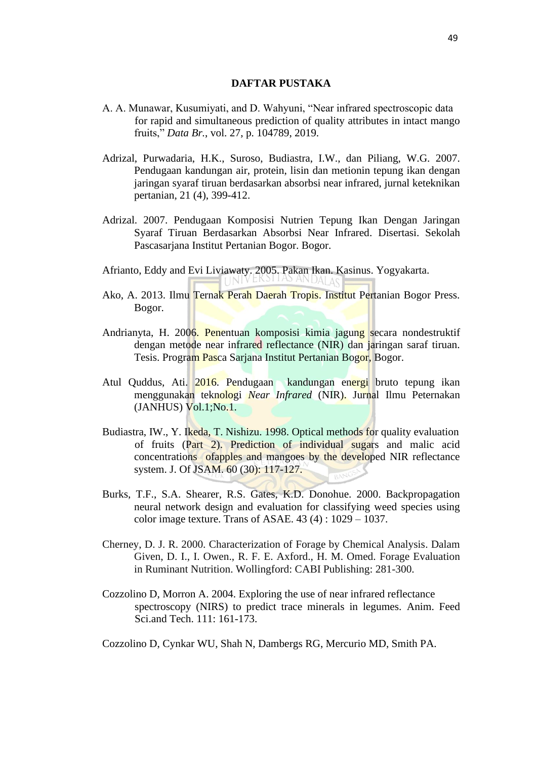## **DAFTAR PUSTAKA**

- A. A. Munawar, Kusumiyati, and D. Wahyuni, "Near infrared spectroscopic data for rapid and simultaneous prediction of quality attributes in intact mango fruits," *Data Br.*, vol. 27, p. 104789, 2019.
- Adrizal, Purwadaria, H.K., Suroso, Budiastra, I.W., dan Piliang, W.G. 2007. Pendugaan kandungan air, protein, lisin dan metionin tepung ikan dengan jaringan syaraf tiruan berdasarkan absorbsi near infrared, jurnal keteknikan pertanian, 21 (4), 399-412.
- Adrizal. 2007. Pendugaan Komposisi Nutrien Tepung Ikan Dengan Jaringan Syaraf Tiruan Berdasarkan Absorbsi Near Infrared. Disertasi. Sekolah Pascasarjana Institut Pertanian Bogor. Bogor.
- Afrianto, Eddy and Evi Liviawaty. 2005. Pakan Ikan. Kasinus. Yogyakarta.
- Ako, A. 2013. Ilmu Ternak Perah Daerah Tropis. Institut Pertanian Bogor Press. Bogor.
- Andrianyta, H. 2006. Penentuan komposisi kimia jagung secara nondestruktif dengan metode near infrared reflectance (NIR) dan jaringan saraf tiruan. Tesis. Program Pasca Sarjana Institut Pertanian Bogor, Bogor.
- Atul Quddus, Ati. 2016. Pendugaan kandungan energi bruto tepung ikan menggunakan teknologi *Near Infrared* (NIR). Jurnal Ilmu Peternakan  $(JANHUS)$   $Vol.1;No.1.$
- Budiastra, IW., Y. Ikeda, T. Nishizu. 1998. Optical methods for quality evaluation of fruits (Part 2). Prediction of individual sugars and malic acid concentrations ofapples and mangoes by the developed NIR reflectance system. J. Of JSAM. 60 (30): 117-127.
- Burks, T.F., S.A. Shearer, R.S. Gates, K.D. Donohue. 2000. Backpropagation neural network design and evaluation for classifying weed species using color image texture. Trans of ASAE.  $43(4)$ :  $1029 - 1037$ .
- Cherney, D. J. R. 2000. Characterization of Forage by Chemical Analysis. Dalam Given, D. I., I. Owen., R. F. E. Axford., H. M. Omed. Forage Evaluation in Ruminant Nutrition. Wollingford: CABI Publishing: 281-300.
- Cozzolino D, Morron A. 2004. Exploring the use of near infrared reflectance spectroscopy (NIRS) to predict trace minerals in legumes. Anim. Feed Sci.and Tech. 111: 161-173.

Cozzolino D, Cynkar WU, Shah N, Dambergs RG, Mercurio MD, Smith PA.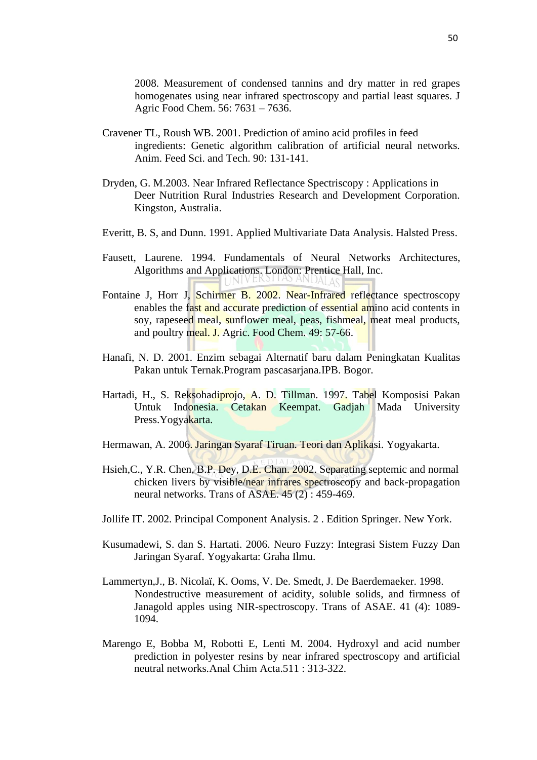2008. Measurement of condensed tannins and dry matter in red grapes homogenates using near infrared spectroscopy and partial least squares. J Agric Food Chem. 56: 7631 – 7636.

- Cravener TL, Roush WB. 2001. Prediction of amino acid profiles in feed ingredients: Genetic algorithm calibration of artificial neural networks. Anim. Feed Sci. and Tech. 90: 131-141.
- Dryden, G. M.2003. Near Infrared Reflectance Spectriscopy : Applications in Deer Nutrition Rural Industries Research and Development Corporation. Kingston, Australia.
- Everitt, B. S, and Dunn. 1991. Applied Multivariate Data Analysis. Halsted Press.
- Fausett, Laurene. 1994. Fundamentals of Neural Networks Architectures, Algorithms and Applications. London: Prentice Hall, Inc.
- Fontaine J, Horr J, Schirmer B, 2002. Near-Infrared reflectance spectroscopy enables the fast and accurate prediction of essential amino acid contents in soy, rapeseed meal, sunflower meal, peas, fishmeal, meat meal products, and poultry meal. J. Agric. Food Chem. 49: 57-66.
- Hanafi, N. D. 2001. Enzim sebagai Alternatif baru dalam Peningkatan Kualitas Pakan untuk Ternak.Program pascasarjana.IPB. Bogor.
- Hartadi, H., S. Reksohadiprojo, A. D. Tillman. 1997. Tabel Komposisi Pakan Untuk Indonesia. Cetakan Keempat. Gadjah Mada University Press.Yogyakarta.
- Hermawan, A. 2006. Jaringan Syaraf Tiruan. Teori dan Aplikasi. Yogyakarta.
- Hsieh,C., Y.R. Chen, B.P. Dey, D.E. Chan. 2002. Separating septemic and normal chicken livers by visible/near infrares spectroscopy and back-propagation neural networks. Trans of ASAE.  $45(2)$ : 459-469.
- Jollife IT. 2002. Principal Component Analysis. 2 . Edition Springer. New York.
- Kusumadewi, S. dan S. Hartati. 2006. Neuro Fuzzy: Integrasi Sistem Fuzzy Dan Jaringan Syaraf. Yogyakarta: Graha Ilmu.
- Lammertyn,J., B. Nicolaï, K. Ooms, V. De. Smedt, J. De Baerdemaeker. 1998. Nondestructive measurement of acidity, soluble solids, and firmness of Janagold apples using NIR-spectroscopy. Trans of ASAE. 41 (4): 1089- 1094.
- Marengo E, Bobba M, Robotti E, Lenti M. 2004. Hydroxyl and acid number prediction in polyester resins by near infrared spectroscopy and artificial neutral networks*.*Anal Chim Acta.511 : 313-322.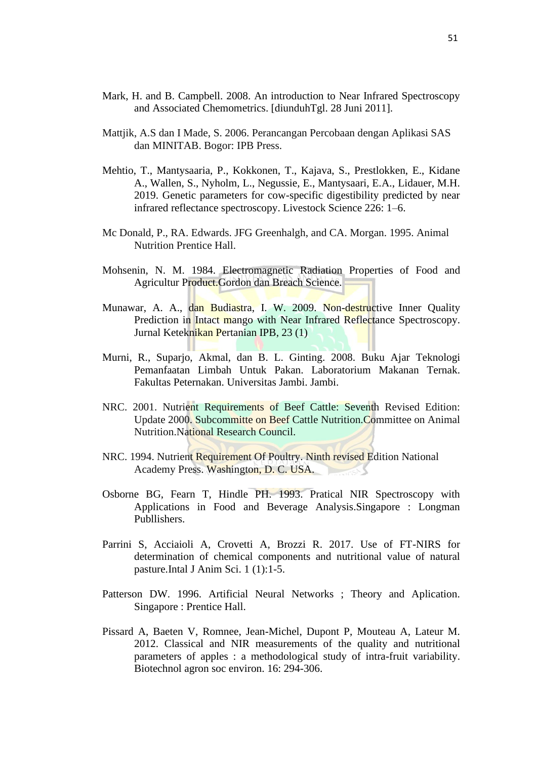- Mark, H. and B. Campbell. 2008. An introduction to Near Infrared Spectroscopy and Associated Chemometrics. [diunduhTgl. 28 Juni 2011].
- Mattjik, A.S dan I Made, S. 2006. Perancangan Percobaan dengan Aplikasi SAS dan MINITAB. Bogor: IPB Press.
- Mehtio, T., Mantysaaria, P., Kokkonen, T., Kajava, S., Prestlokken, E., Kidane A., Wallen, S., Nyholm, L., Negussie, E., Mantysaari, E.A., Lidauer, M.H. 2019. Genetic parameters for cow-specific digestibility predicted by near infrared reflectance spectroscopy. Livestock Science 226: 1–6.
- Mc Donald, P., RA. Edwards. JFG Greenhalgh, and CA. Morgan. 1995. Animal Nutrition Prentice Hall.
- Mohsenin, N. M. 1984. Electromagnetic Radiation Properties of Food and Agricultur Product.Gordon dan Breach Science.
- Munawar, A. A., dan Budiastra, I. W. 2009. Non-destructive Inner Quality Prediction in Intact mango with Near Infrared Reflectance Spectroscopy. Jurnal Keteknikan Pertanian IPB, 23 (1)
- Murni, R., Suparjo, Akmal, dan B. L. Ginting. 2008. Buku Ajar Teknologi Pemanfaatan Limbah Untuk Pakan. Laboratorium Makanan Ternak. Fakultas Peternakan. Universitas Jambi. Jambi.
- NRC. 2001. Nutrient Requirements of Beef Cattle: Seventh Revised Edition: Update 2000. Subcommitte on Beef Cattle Nutrition.Committee on Animal Nutrition.National Research Council.
- NRC. 1994. Nutrient Requirement Of Poultry. Ninth revised Edition National Academy Press. Washington, D. C. USA.
- Osborne BG, Fearn T, Hindle PH. 1993. Pratical NIR Spectroscopy with Applications in Food and Beverage Analysis.Singapore : Longman Publlishers.
- Parrini S, Acciaioli A, Crovetti A, Brozzi R. 2017. Use of FT-NIRS for determination of chemical components and nutritional value of natural pasture.Intal J Anim Sci. 1 (1):1-5.
- Patterson DW. 1996. Artificial Neural Networks ; Theory and Aplication. Singapore : Prentice Hall.
- Pissard A, Baeten V, Romnee, Jean-Michel, Dupont P, Mouteau A, Lateur M. 2012. Classical and NIR measurements of the quality and nutritional parameters of apples : a methodological study of intra-fruit variability. Biotechnol agron soc environ. 16: 294-306.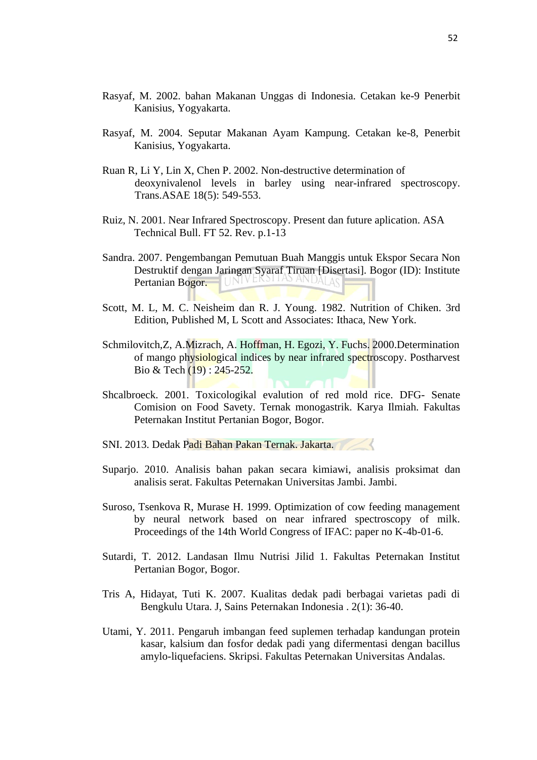- Rasyaf, M. 2002. bahan Makanan Unggas di Indonesia. Cetakan ke-9 Penerbit Kanisius, Yogyakarta.
- Rasyaf, M. 2004. Seputar Makanan Ayam Kampung. Cetakan ke-8, Penerbit Kanisius, Yogyakarta.
- Ruan R, Li Y, Lin X, Chen P. 2002. Non-destructive determination of deoxynivalenol levels in barley using near-infrared spectroscopy. Trans.ASAE 18(5): 549-553.
- Ruiz, N. 2001. Near Infrared Spectroscopy. Present dan future aplication. ASA Technical Bull. FT 52. Rev. p.1-13
- Sandra. 2007. Pengembangan Pemutuan Buah Manggis untuk Ekspor Secara Non Destruktif dengan Jaringan Syaraf Tiruan [Disertasi]. Bogor (ID): Institute Pertanian Bogor. I UNIVE
- Scott, M. L, M. C. Neisheim dan R. J. Young. 1982. Nutrition of Chiken. 3rd Edition, Published M, L Scott and Associates: Ithaca, New York.
- Schmilovitch,Z, A.Mizrach, A. Hoffman, H. Egozi, Y. Fuchs. 2000.Determination of mango physiological indices by near infrared spectroscopy. Postharvest Bio & Tech (19) : 245-252.
- Shcalbroeck. 2001. Toxicologikal evalution of red mold rice. DFG- Senate Comision on Food Savety. Ternak monogastrik. Karya Ilmiah. Fakultas Peternakan Institut Pertanian Bogor, Bogor.
- SNI. 2013. Dedak Padi Bahan Pakan Ternak. Jakarta.
- Suparjo. 2010. Analisis bahan pakan secara kimiawi, analisis proksimat dan analisis serat. Fakultas Peternakan Universitas Jambi. Jambi.
- Suroso, Tsenkova R, Murase H. 1999. Optimization of cow feeding management by neural network based on near infrared spectroscopy of milk. Proceedings of the 14th World Congress of IFAC: paper no K-4b-01-6.
- Sutardi, T. 2012. Landasan Ilmu Nutrisi Jilid 1. Fakultas Peternakan Institut Pertanian Bogor, Bogor.
- Tris A, Hidayat, Tuti K. 2007. Kualitas dedak padi berbagai varietas padi di Bengkulu Utara. J, Sains Peternakan Indonesia . 2(1): 36-40.
- Utami, Y. 2011. Pengaruh imbangan feed suplemen terhadap kandungan protein kasar, kalsium dan fosfor dedak padi yang difermentasi dengan bacillus amylo-liquefaciens. Skripsi. Fakultas Peternakan Universitas Andalas.